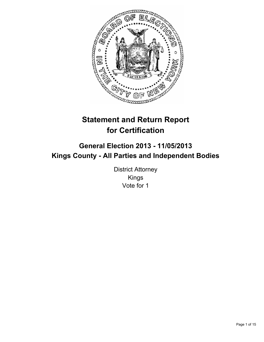

# **Statement and Return Report for Certification**

## **General Election 2013 - 11/05/2013 Kings County - All Parties and Independent Bodies**

District Attorney Kings Vote for 1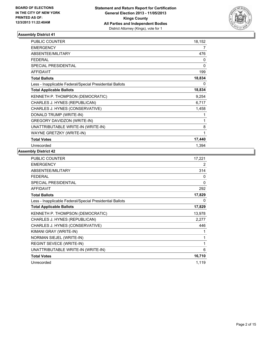

| <b>PUBLIC COUNTER</b>                                    | 18,152 |
|----------------------------------------------------------|--------|
| <b>EMERGENCY</b>                                         | 7      |
| <b>ABSENTEE/MILITARY</b>                                 | 476    |
| <b>FEDERAL</b>                                           | 0      |
| <b>SPECIAL PRESIDENTIAL</b>                              | 0      |
| <b>AFFIDAVIT</b>                                         | 199    |
| <b>Total Ballots</b>                                     | 18,834 |
| Less - Inapplicable Federal/Special Presidential Ballots | 0      |
| <b>Total Applicable Ballots</b>                          | 18,834 |
| <b>KENNETH P. THOMPSON (DEMOCRATIC)</b>                  | 9,254  |
| CHARLES J. HYNES (REPUBLICAN)                            | 6,717  |
| CHARLES J. HYNES (CONSERVATIVE)                          | 1,458  |
| DONALD TRUMP (WRITE-IN)                                  |        |
| GREGORY DAVIDZON (WRITE-IN)                              | 1      |
| UNATTRIBUTABLE WRITE-IN (WRITE-IN)                       | 8      |
| WAYNE GRETZKY (WRITE-IN)                                 | 1      |
| <b>Total Votes</b>                                       | 17,440 |
| Unrecorded                                               | 1,394  |

| PUBLIC COUNTER                                           | 17,221 |
|----------------------------------------------------------|--------|
| <b>EMERGENCY</b>                                         | 2      |
| ABSENTEE/MILITARY                                        | 314    |
| <b>FEDERAL</b>                                           | 0      |
| <b>SPECIAL PRESIDENTIAL</b>                              | 0      |
| <b>AFFIDAVIT</b>                                         | 292    |
| <b>Total Ballots</b>                                     | 17,829 |
| Less - Inapplicable Federal/Special Presidential Ballots | 0      |
| <b>Total Applicable Ballots</b>                          | 17,829 |
| KENNETH P. THOMPSON (DEMOCRATIC)                         | 13,978 |
| CHARLES J. HYNES (REPUBLICAN)                            | 2,277  |
| CHARLES J. HYNES (CONSERVATIVE)                          | 446    |
| KIMANI GRAY (WRITE-IN)                                   | 1      |
| NORMAN SIEJEL (WRITE-IN)                                 | 1      |
| REGINT SEVECE (WRITE-IN)                                 | 1      |
| UNATTRIBUTABLE WRITE-IN (WRITE-IN)                       | 6      |
| <b>Total Votes</b>                                       | 16,710 |
| Unrecorded                                               | 1,119  |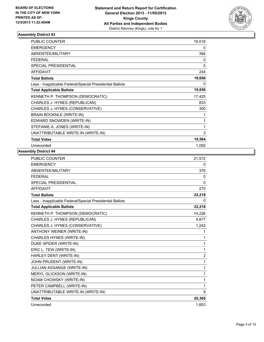

| <b>PUBLIC COUNTER</b>                                    | 19,018 |
|----------------------------------------------------------|--------|
| <b>EMERGENCY</b>                                         | 0      |
| <b>ABSENTEE/MILITARY</b>                                 | 394    |
| <b>FEDERAL</b>                                           | 0      |
| SPECIAL PRESIDENTIAL                                     | 0      |
| <b>AFFIDAVIT</b>                                         | 244    |
| <b>Total Ballots</b>                                     | 19,656 |
| Less - Inapplicable Federal/Special Presidential Ballots | 0      |
| <b>Total Applicable Ballots</b>                          | 19,656 |
| KENNETH P. THOMPSON (DEMOCRATIC)                         | 17,425 |
| CHARLES J. HYNES (REPUBLICAN)                            | 833    |
| CHARLES J. HYNES (CONSERVATIVE)                          | 300    |
| BRAIN BOOKNLE (WRITE-IN)                                 | 1      |
| EDWARD SNOWDEN (WRITE-IN)                                | 1      |
| STEFANIE A. JONES (WRITE-IN)                             | 1      |
| UNATTRIBUTABLE WRITE-IN (WRITE-IN)                       | 3      |
| <b>Total Votes</b>                                       | 18,564 |
| Unrecorded                                               | 1,092  |

| <b>PUBLIC COUNTER</b>                                    | 21,572         |
|----------------------------------------------------------|----------------|
| <b>EMERGENCY</b>                                         | 0              |
| <b>ABSENTEE/MILITARY</b>                                 | 376            |
| <b>FEDERAL</b>                                           | 0              |
| SPECIAL PRESIDENTIAL                                     | 0              |
| <b>AFFIDAVIT</b>                                         | 270            |
| <b>Total Ballots</b>                                     | 22,218         |
| Less - Inapplicable Federal/Special Presidential Ballots | 0              |
| <b>Total Applicable Ballots</b>                          | 22,218         |
| KENNETH P. THOMPSON (DEMOCRATIC)                         | 14,226         |
| CHARLES J. HYNES (REPUBLICAN)                            | 4,877          |
| CHARLES J. HYNES (CONSERVATIVE)                          | 1,242          |
| <b>ANTHONY WEINER (WRITE-IN)</b>                         | 1              |
| <b>CHARLES HYNES (WRITE-IN)</b>                          | 1              |
| DUKE SPIDER (WRITE-IN)                                   | 1              |
| ERIC L. TEW (WRITE-IN)                                   | 1              |
| HARLEY DENT (WRITE-IN)                                   | $\overline{c}$ |
| JOHN PRUDENT (WRITE-IN)                                  | 1              |
| <b>JULLIAN ASSANGE (WRITE-IN)</b>                        | $\mathbf{1}$   |
| MERYL GLICKSON (WRITE-IN)                                | 1              |
| NOAM CHOWSKY (WRITE-IN)                                  | 1              |
| PETER CAMPBELL (WRITE-IN)                                | 1              |
| UNATTRIBUTABLE WRITE-IN (WRITE-IN)                       | 9              |
| <b>Total Votes</b>                                       | 20,365         |
| Unrecorded                                               | 1,853          |
|                                                          |                |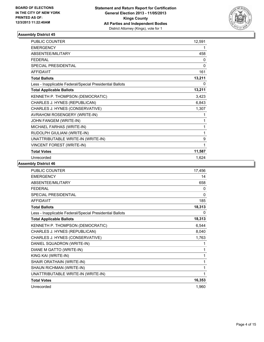

| <b>PUBLIC COUNTER</b>                                    | 12,591 |
|----------------------------------------------------------|--------|
| <b>EMERGENCY</b>                                         | 1      |
| <b>ABSENTEE/MILITARY</b>                                 | 458    |
| <b>FEDERAL</b>                                           | 0      |
| SPECIAL PRESIDENTIAL                                     | 0      |
| <b>AFFIDAVIT</b>                                         | 161    |
| <b>Total Ballots</b>                                     | 13,211 |
| Less - Inapplicable Federal/Special Presidential Ballots | 0      |
| <b>Total Applicable Ballots</b>                          | 13,211 |
| KENNETH P. THOMPSON (DEMOCRATIC)                         | 3,423  |
| CHARLES J. HYNES (REPUBLICAN)                            | 6,843  |
| CHARLES J. HYNES (CONSERVATIVE)                          | 1,307  |
| AVRAHOM ROSENGERY (WRITE-IN)                             | 1      |
| JOHN FANGEM (WRITE-IN)                                   | 1      |
| MICHAEL FARHAS (WRITE-IN)                                | 1      |
| RUDOLPH GIULIANI (WRITE-IN)                              | 1      |
| UNATTRIBUTABLE WRITE-IN (WRITE-IN)                       | 9      |
| VINCENT FOREST (WRITE-IN)                                | 1      |
| <b>Total Votes</b>                                       | 11,587 |
| Unrecorded                                               | 1,624  |

| <b>PUBLIC COUNTER</b>                                    | 17,456 |
|----------------------------------------------------------|--------|
| <b>EMERGENCY</b>                                         | 14     |
| ABSENTEE/MILITARY                                        | 658    |
| <b>FEDERAL</b>                                           | 0      |
| <b>SPECIAL PRESIDENTIAL</b>                              | 0      |
| <b>AFFIDAVIT</b>                                         | 185    |
| <b>Total Ballots</b>                                     | 18,313 |
| Less - Inapplicable Federal/Special Presidential Ballots | 0      |
| <b>Total Applicable Ballots</b>                          | 18,313 |
| KENNETH P. THOMPSON (DEMOCRATIC)                         | 6,544  |
| CHARLES J. HYNES (REPUBLICAN)                            | 8,040  |
| CHARLES J. HYNES (CONSERVATIVE)                          | 1,763  |
| DANIEL SQUADRON (WRITE-IN)                               | 1      |
| DIANE M GATTO (WRITE-IN)                                 | 1      |
| KING KAI (WRITE-IN)                                      | 1      |
| SHAIR ORATHAIN (WRITE-IN)                                | 1      |
| SHAUN RICHMAN (WRITE-IN)                                 | 1      |
| UNATTRIBUTABLE WRITE-IN (WRITE-IN)                       | 1      |
| <b>Total Votes</b>                                       | 16,353 |
| Unrecorded                                               | 1,960  |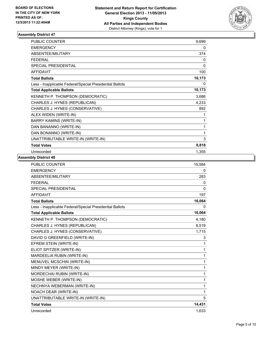

| <b>PUBLIC COUNTER</b>                                    | 9,699  |
|----------------------------------------------------------|--------|
| <b>EMERGENCY</b>                                         | 0      |
| ABSENTEE/MILITARY                                        | 374    |
| <b>FEDERAL</b>                                           | 0      |
| <b>SPECIAL PRESIDENTIAL</b>                              | 0      |
| <b>AFFIDAVIT</b>                                         | 100    |
| <b>Total Ballots</b>                                     | 10,173 |
| Less - Inapplicable Federal/Special Presidential Ballots | 0      |
| <b>Total Applicable Ballots</b>                          | 10,173 |
| KENNETH P. THOMPSON (DEMOCRATIC)                         | 3,686  |
| CHARLES J. HYNES (REPUBLICAN)                            | 4,233  |
| CHARLES J. HYNES (CONSERVATIVE)                          | 892    |
| ALEX WIDEN (WRITE-IN)                                    | 1      |
| <b>BARRY KAMINS (WRITE-IN)</b>                           | 1      |
| DAN BANANNO (WRITE-IN)                                   | 1      |
| DAN BONANNO (WRITE-IN)                                   | 1      |
| UNATTRIBUTABLE WRITE-IN (WRITE-IN)                       | 3      |
| <b>Total Votes</b>                                       | 8,818  |
| Unrecorded                                               | 1,355  |

| <b>PUBLIC COUNTER</b>                                    | 15,584   |
|----------------------------------------------------------|----------|
| <b>EMERGENCY</b>                                         | 0        |
| ABSENTEE/MILITARY                                        | 283      |
| <b>FEDERAL</b>                                           | 0        |
| <b>SPECIAL PRESIDENTIAL</b>                              | $\Omega$ |
| <b>AFFIDAVIT</b>                                         | 197      |
| <b>Total Ballots</b>                                     | 16,064   |
| Less - Inapplicable Federal/Special Presidential Ballots | 0        |
| <b>Total Applicable Ballots</b>                          | 16,064   |
| KENNETH P. THOMPSON (DEMOCRATIC)                         | 4,180    |
| CHARLES J. HYNES (REPUBLICAN)                            | 8,519    |
| CHARLES J. HYNES (CONSERVATIVE)                          | 1,715    |
| DAVID G GREENFIELD (WRITE-IN)                            | 3        |
| EFREM STEIN (WRITE-IN)                                   | 1        |
| ELIOT SPITZER (WRITE-IN)                                 | 1        |
| MARDEELIA RUBIN (WRITE-IN)                               | 1        |
| MENUVEL MCSCHIN (WRITE-IN)                               | 1        |
| MINDY MEYER (WRITE-IN)                                   | 1        |
| MORDECHAI RUBIN (WRITE-IN)                               | 1        |
| MOSHE WEBER (WRITE-IN)                                   | 1        |
| NECHNYA WEBERMAN (WRITE-IN)                              | 1        |
| NOACH DEAR (WRITE-IN)                                    | 1        |
| UNATTRIBUTABLE WRITE-IN (WRITE-IN)                       | 5        |
| <b>Total Votes</b>                                       | 14,431   |
| Unrecorded                                               | 1,633    |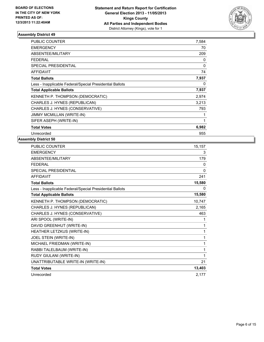

| <b>PUBLIC COUNTER</b>                                    | 7,584    |
|----------------------------------------------------------|----------|
| <b>EMERGENCY</b>                                         | 70       |
| <b>ABSENTEE/MILITARY</b>                                 | 209      |
| <b>FEDERAL</b>                                           | 0        |
| <b>SPECIAL PRESIDENTIAL</b>                              | $\Omega$ |
| AFFIDAVIT                                                | 74       |
| <b>Total Ballots</b>                                     | 7,937    |
| Less - Inapplicable Federal/Special Presidential Ballots | 0        |
| <b>Total Applicable Ballots</b>                          | 7,937    |
| KENNETH P. THOMPSON (DEMOCRATIC)                         | 2,974    |
| CHARLES J. HYNES (REPUBLICAN)                            | 3,213    |
| CHARLES J. HYNES (CONSERVATIVE)                          | 793      |
| <b>JIMMY MCMILLAN (WRITE-IN)</b>                         | 1        |
| SIFER ASEPH (WRITE-IN)                                   | 1        |
| <b>Total Votes</b>                                       | 6,982    |
| Unrecorded                                               | 955      |

| PUBLIC COUNTER                                           | 15,157   |
|----------------------------------------------------------|----------|
| <b>EMERGENCY</b>                                         | 3        |
| ABSENTEE/MILITARY                                        | 179      |
| <b>FEDERAL</b>                                           | 0        |
| <b>SPECIAL PRESIDENTIAL</b>                              | $\Omega$ |
| <b>AFFIDAVIT</b>                                         | 241      |
| <b>Total Ballots</b>                                     | 15,580   |
| Less - Inapplicable Federal/Special Presidential Ballots | 0        |
| <b>Total Applicable Ballots</b>                          | 15,580   |
| KENNETH P. THOMPSON (DEMOCRATIC)                         | 10,747   |
| CHARLES J. HYNES (REPUBLICAN)                            | 2,165    |
| CHARLES J. HYNES (CONSERVATIVE)                          | 463      |
| ARI SPOOL (WRITE-IN)                                     | 1        |
| DAVID GREENHUT (WRITE-IN)                                | 1        |
| HEATHER LETZKUS (WRITE-IN)                               | 1        |
| JOEL STEIN (WRITE-IN)                                    | 1        |
| MICHAEL FRIEDMAN (WRITE-IN)                              | 1        |
| RABBI TALELBAUM (WRITE-IN)                               | 1        |
| RUDY GIULANI (WRITE-IN)                                  | 1        |
| UNATTRIBUTABLE WRITE-IN (WRITE-IN)                       | 21       |
| <b>Total Votes</b>                                       | 13,403   |
| Unrecorded                                               | 2,177    |
|                                                          |          |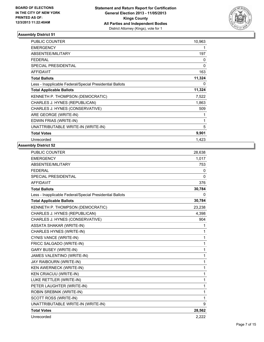

| <b>PUBLIC COUNTER</b>                                    | 10,963 |
|----------------------------------------------------------|--------|
| <b>EMERGENCY</b>                                         | 1      |
| ABSENTEE/MILITARY                                        | 197    |
| FEDERAL                                                  | 0      |
| SPECIAL PRESIDENTIAL                                     | 0      |
| <b>AFFIDAVIT</b>                                         | 163    |
| <b>Total Ballots</b>                                     | 11,324 |
| Less - Inapplicable Federal/Special Presidential Ballots | 0      |
| <b>Total Applicable Ballots</b>                          | 11,324 |
| KENNETH P. THOMPSON (DEMOCRATIC)                         | 7,522  |
| CHARLES J. HYNES (REPUBLICAN)                            | 1,863  |
| CHARLES J. HYNES (CONSERVATIVE)                          | 509    |
| ARE GEORGE (WRITE-IN)                                    | 1      |
| EDWIN FRIAS (WRITE-IN)                                   | 1      |
| UNATTRIBUTABLE WRITE-IN (WRITE-IN)                       | 5      |
| <b>Total Votes</b>                                       | 9,901  |
| Unrecorded                                               | 1,423  |

| <b>PUBLIC COUNTER</b>                                    | 28,638       |
|----------------------------------------------------------|--------------|
| <b>EMERGENCY</b>                                         | 1,017        |
| ABSENTEE/MILITARY                                        | 753          |
| <b>FEDERAL</b>                                           | $\mathbf{0}$ |
| <b>SPECIAL PRESIDENTIAL</b>                              | $\mathbf{0}$ |
| <b>AFFIDAVIT</b>                                         | 376          |
| <b>Total Ballots</b>                                     | 30,784       |
| Less - Inapplicable Federal/Special Presidential Ballots | 0            |
| <b>Total Applicable Ballots</b>                          | 30,784       |
| KENNETH P. THOMPSON (DEMOCRATIC)                         | 23,238       |
| CHARLES J. HYNES (REPUBLICAN)                            | 4,398        |
| CHARLES J. HYNES (CONSERVATIVE)                          | 904          |
| <b>ASSATA SHAKAR (WRITE-IN)</b>                          | 1            |
| CHARLES HYNES (WRITE-IN)                                 | 1            |
| CYNIS VANCE (WRITE-IN)                                   | 1            |
| FRICC SALGADO (WRITE-IN)                                 | 1            |
| <b>GARY BUSEY (WRITE-IN)</b>                             | 1            |
| JAMES VALENTINO (WRITE-IN)                               | 1            |
| JAY RAIBOURN (WRITE-IN)                                  | 1            |
| <b>KEN AWERNECK (WRITE-IN)</b>                           | 1            |
| <b>KEN CRIACUU (WRITE-IN)</b>                            | 1            |
| LUKE RETTLER (WRITE-IN)                                  | 1            |
| PETER LAUGHTER (WRITE-IN)                                | 1            |
| ROBIN SREBNIK (WRITE-IN)                                 | 1            |
| SCOTT ROSS (WRITE-IN)                                    | 1            |
| UNATTRIBUTABLE WRITE-IN (WRITE-IN)                       | 9            |
| <b>Total Votes</b>                                       | 28,562       |
| Unrecorded                                               | 2.222        |
|                                                          |              |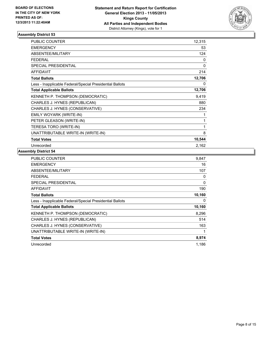

| <b>PUBLIC COUNTER</b>                                    | 12,315 |
|----------------------------------------------------------|--------|
| <b>EMERGENCY</b>                                         | 53     |
| <b>ABSENTEE/MILITARY</b>                                 | 124    |
| <b>FEDERAL</b>                                           | 0      |
| <b>SPECIAL PRESIDENTIAL</b>                              | 0      |
| <b>AFFIDAVIT</b>                                         | 214    |
| <b>Total Ballots</b>                                     | 12,706 |
| Less - Inapplicable Federal/Special Presidential Ballots | 0      |
| <b>Total Applicable Ballots</b>                          | 12,706 |
| KENNETH P. THOMPSON (DEMOCRATIC)                         | 9,419  |
| CHARLES J. HYNES (REPUBLICAN)                            | 880    |
| CHARLES J. HYNES (CONSERVATIVE)                          | 234    |
| EMILY WOYARK (WRITE-IN)                                  | 1      |
| PETER GLEASON (WRITE-IN)                                 | 1      |
| TERESA TORO (WRITE-IN)                                   | 1      |
| UNATTRIBUTABLE WRITE-IN (WRITE-IN)                       | 8      |
| <b>Total Votes</b>                                       | 10,544 |
| Unrecorded                                               | 2,162  |

| <b>PUBLIC COUNTER</b>                                    | 9,847  |
|----------------------------------------------------------|--------|
| EMERGENCY                                                | 16     |
| ABSENTEE/MILITARY                                        | 107    |
| <b>FEDERAL</b>                                           | 0      |
| <b>SPECIAL PRESIDENTIAL</b>                              | 0      |
| <b>AFFIDAVIT</b>                                         | 190    |
| <b>Total Ballots</b>                                     | 10,160 |
| Less - Inapplicable Federal/Special Presidential Ballots | 0      |
| <b>Total Applicable Ballots</b>                          | 10,160 |
| KENNETH P. THOMPSON (DEMOCRATIC)                         | 8,296  |
| CHARLES J. HYNES (REPUBLICAN)                            | 514    |
| CHARLES J. HYNES (CONSERVATIVE)                          | 163    |
| UNATTRIBUTABLE WRITE-IN (WRITE-IN)                       | 1      |
| <b>Total Votes</b>                                       | 8,974  |
| Unrecorded                                               | 1,186  |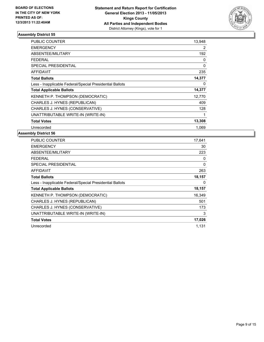

| <b>PUBLIC COUNTER</b>                                    | 13,948      |
|----------------------------------------------------------|-------------|
| <b>EMERGENCY</b>                                         | 2           |
| ABSENTEE/MILITARY                                        | 192         |
| <b>FEDERAL</b>                                           | 0           |
| SPECIAL PRESIDENTIAL                                     | $\mathbf 0$ |
| AFFIDAVIT                                                | 235         |
| <b>Total Ballots</b>                                     | 14,377      |
| Less - Inapplicable Federal/Special Presidential Ballots | 0           |
| <b>Total Applicable Ballots</b>                          | 14,377      |
| <b>KENNETH P. THOMPSON (DEMOCRATIC)</b>                  | 12,770      |
| CHARLES J. HYNES (REPUBLICAN)                            | 409         |
| CHARLES J. HYNES (CONSERVATIVE)                          | 128         |
| UNATTRIBUTABLE WRITE-IN (WRITE-IN)                       | 1           |
| <b>Total Votes</b>                                       | 13,308      |
| Unrecorded                                               | 1.069       |

| <b>PUBLIC COUNTER</b>                                    | 17,641 |
|----------------------------------------------------------|--------|
| <b>EMERGENCY</b>                                         | 30     |
| ABSENTEE/MILITARY                                        | 223    |
| FEDERAL                                                  | 0      |
| SPECIAL PRESIDENTIAL                                     | 0      |
| <b>AFFIDAVIT</b>                                         | 263    |
| <b>Total Ballots</b>                                     | 18,157 |
| Less - Inapplicable Federal/Special Presidential Ballots | 0      |
| <b>Total Applicable Ballots</b>                          | 18,157 |
| <b>KENNETH P. THOMPSON (DEMOCRATIC)</b>                  | 16,349 |
| CHARLES J. HYNES (REPUBLICAN)                            | 501    |
| CHARLES J. HYNES (CONSERVATIVE)                          | 173    |
| UNATTRIBUTABLE WRITE-IN (WRITE-IN)                       | 3      |
| <b>Total Votes</b>                                       | 17,026 |
| Unrecorded                                               | 1.131  |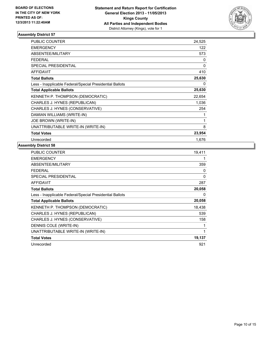

| <b>PUBLIC COUNTER</b>                                    | 24,525 |
|----------------------------------------------------------|--------|
| <b>EMERGENCY</b>                                         | 122    |
| <b>ABSENTEE/MILITARY</b>                                 | 573    |
| <b>FEDERAL</b>                                           | 0      |
| <b>SPECIAL PRESIDENTIAL</b>                              | 0      |
| <b>AFFIDAVIT</b>                                         | 410    |
| <b>Total Ballots</b>                                     | 25,630 |
| Less - Inapplicable Federal/Special Presidential Ballots | 0      |
| <b>Total Applicable Ballots</b>                          | 25,630 |
| KENNETH P. THOMPSON (DEMOCRATIC)                         | 22,654 |
| CHARLES J. HYNES (REPUBLICAN)                            | 1,036  |
| CHARLES J. HYNES (CONSERVATIVE)                          | 254    |
| DAMIAN WILLIAMS (WRITE-IN)                               | 1      |
| JOE BROWN (WRITE-IN)                                     | 1      |
| UNATTRIBUTABLE WRITE-IN (WRITE-IN)                       | 8      |
| <b>Total Votes</b>                                       | 23,954 |
| Unrecorded                                               | 1,676  |

| PUBLIC COUNTER                                           | 19,411 |
|----------------------------------------------------------|--------|
| <b>EMERGENCY</b>                                         | 1      |
| ABSENTEE/MILITARY                                        | 359    |
| <b>FEDERAL</b>                                           | 0      |
| <b>SPECIAL PRESIDENTIAL</b>                              | 0      |
| <b>AFFIDAVIT</b>                                         | 287    |
| <b>Total Ballots</b>                                     | 20,058 |
| Less - Inapplicable Federal/Special Presidential Ballots | 0      |
| <b>Total Applicable Ballots</b>                          | 20,058 |
| KENNETH P. THOMPSON (DEMOCRATIC)                         | 18,438 |
| CHARLES J. HYNES (REPUBLICAN)                            | 539    |
| CHARLES J. HYNES (CONSERVATIVE)                          | 158    |
| DENNIS COLE (WRITE-IN)                                   | 1      |
| UNATTRIBUTABLE WRITE-IN (WRITE-IN)                       | 1      |
| <b>Total Votes</b>                                       | 19,137 |
| Unrecorded                                               | 921    |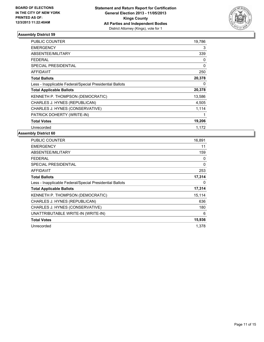

| <b>PUBLIC COUNTER</b>                                    | 19,786 |
|----------------------------------------------------------|--------|
| <b>EMERGENCY</b>                                         | 3      |
| ABSENTEE/MILITARY                                        | 339    |
| <b>FEDERAL</b>                                           | 0      |
| <b>SPECIAL PRESIDENTIAL</b>                              | 0      |
| <b>AFFIDAVIT</b>                                         | 250    |
| <b>Total Ballots</b>                                     | 20,378 |
| Less - Inapplicable Federal/Special Presidential Ballots | 0      |
| <b>Total Applicable Ballots</b>                          | 20,378 |
| KENNETH P. THOMPSON (DEMOCRATIC)                         | 13,586 |
| CHARLES J. HYNES (REPUBLICAN)                            | 4,505  |
| CHARLES J. HYNES (CONSERVATIVE)                          | 1,114  |
| PATRICK DOHERTY (WRITE-IN)                               | 1      |
| <b>Total Votes</b>                                       | 19,206 |
| Unrecorded                                               | 1,172  |

| <b>PUBLIC COUNTER</b>                                    | 16,891 |
|----------------------------------------------------------|--------|
| <b>EMERGENCY</b>                                         | 11     |
| ABSENTEE/MILITARY                                        | 159    |
| FEDERAL                                                  | 0      |
| SPECIAL PRESIDENTIAL                                     | 0      |
| <b>AFFIDAVIT</b>                                         | 253    |
| <b>Total Ballots</b>                                     | 17,314 |
| Less - Inapplicable Federal/Special Presidential Ballots | 0      |
| <b>Total Applicable Ballots</b>                          | 17,314 |
| <b>KENNETH P. THOMPSON (DEMOCRATIC)</b>                  | 15,114 |
| CHARLES J. HYNES (REPUBLICAN)                            | 636    |
| CHARLES J. HYNES (CONSERVATIVE)                          | 180    |
| UNATTRIBUTABLE WRITE-IN (WRITE-IN)                       | 6      |
| <b>Total Votes</b>                                       | 15,936 |
| Unrecorded                                               | 1.378  |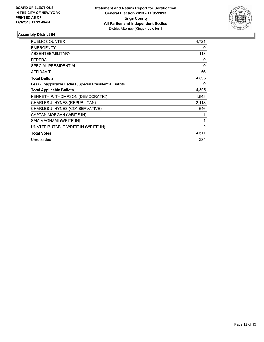

| <b>PUBLIC COUNTER</b>                                    | 4,721          |
|----------------------------------------------------------|----------------|
| <b>EMERGENCY</b>                                         | 0              |
| ABSENTEE/MILITARY                                        | 118            |
| <b>FEDERAL</b>                                           | 0              |
| <b>SPECIAL PRESIDENTIAL</b>                              | 0              |
| <b>AFFIDAVIT</b>                                         | 56             |
| <b>Total Ballots</b>                                     | 4,895          |
| Less - Inapplicable Federal/Special Presidential Ballots | 0              |
| <b>Total Applicable Ballots</b>                          | 4,895          |
| KENNETH P. THOMPSON (DEMOCRATIC)                         | 1,843          |
| CHARLES J. HYNES (REPUBLICAN)                            | 2,118          |
| CHARLES J. HYNES (CONSERVATIVE)                          | 646            |
| CAPTAN MORGAN (WRITE-IN)                                 | 1              |
| SAM MAGNAMI (WRITE-IN)                                   | 1              |
| UNATTRIBUTABLE WRITE-IN (WRITE-IN)                       | $\overline{2}$ |
| <b>Total Votes</b>                                       | 4,611          |
| Unrecorded                                               | 284            |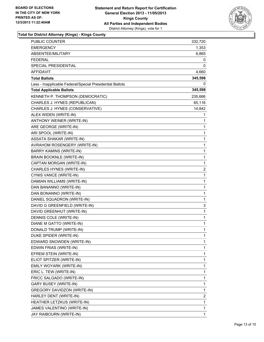

**Total for District Attorney (Kings) - Kings County**

| PUBLIC COUNTER                                           | 332,720      |
|----------------------------------------------------------|--------------|
| <b>EMERGENCY</b>                                         | 1,353        |
| ABSENTEE/MILITARY                                        | 6,865        |
| <b>FEDERAL</b>                                           | 0            |
| SPECIAL PRESIDENTIAL                                     | 0            |
| AFFIDAVIT                                                | 4,660        |
| <b>Total Ballots</b>                                     | 345,598      |
| Less - Inapplicable Federal/Special Presidential Ballots | 0            |
| <b>Total Applicable Ballots</b>                          | 345,598      |
| KENNETH P. THOMPSON (DEMOCRATIC)                         | 235,666      |
| CHARLES J. HYNES (REPUBLICAN)                            | 65,116       |
| CHARLES J. HYNES (CONSERVATIVE)                          | 14,842       |
| ALEX WIDEN (WRITE-IN)                                    | 1            |
| ANTHONY WEINER (WRITE-IN)                                | 1            |
| ARE GEORGE (WRITE-IN)                                    | 1            |
| ARI SPOOL (WRITE-IN)                                     | 1            |
| <b>ASSATA SHAKAR (WRITE-IN)</b>                          | 1            |
| AVRAHOM ROSENGERY (WRITE-IN)                             | 1            |
| BARRY KAMINS (WRITE-IN)                                  | 1            |
| BRAIN BOOKNLE (WRITE-IN)                                 | $\mathbf{1}$ |
| CAPTAN MORGAN (WRITE-IN)                                 | 1            |
| CHARLES HYNES (WRITE-IN)                                 | 2            |
| CYNIS VANCE (WRITE-IN)                                   | 1            |
| DAMIAN WILLIAMS (WRITE-IN)                               | 1            |
| DAN BANANNO (WRITE-IN)                                   | 1            |
| DAN BONANNO (WRITE-IN)                                   | 1            |
| DANIEL SQUADRON (WRITE-IN)                               | 1            |
| DAVID G GREENFIELD (WRITE-IN)                            | 3            |
| DAVID GREENHUT (WRITE-IN)                                | 1            |
| DENNIS COLE (WRITE-IN)                                   | 1            |
| DIANE M GATTO (WRITE-IN)                                 | 1            |
| DONALD TRUMP (WRITE-IN)                                  | 1            |
| DUKE SPIDER (WRITE-IN)                                   | 1            |
| EDWARD SNOWDEN (WRITE-IN)                                | 1            |
| EDWIN FRIAS (WRITE-IN)                                   | 1            |
| EFREM STEIN (WRITE-IN)                                   | 1            |
| ELIOT SPITZER (WRITE-IN)                                 | 1            |
| EMILY WOYARK (WRITE-IN)                                  | 1            |
| ERIC L. TEW (WRITE-IN)                                   | 1            |
| FRICC SALGADO (WRITE-IN)                                 | 1            |
| <b>GARY BUSEY (WRITE-IN)</b>                             | 1            |
| GREGORY DAVIDZON (WRITE-IN)                              | 1            |
| HARLEY DENT (WRITE-IN)                                   | 2            |
| HEATHER LETZKUS (WRITE-IN)                               | 1            |
| JAMES VALENTINO (WRITE-IN)                               | 1            |
| JAY RAIBOURN (WRITE-IN)                                  | 1            |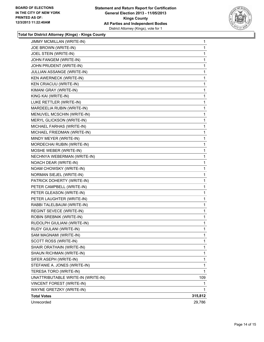

**Total for District Attorney (Kings) - Kings County**

| <b>JIMMY MCMILLAN (WRITE-IN)</b>   | 1       |
|------------------------------------|---------|
| JOE BROWN (WRITE-IN)               | 1       |
| JOEL STEIN (WRITE-IN)              | 1       |
| JOHN FANGEM (WRITE-IN)             | 1       |
| JOHN PRUDENT (WRITE-IN)            | 1       |
| JULLIAN ASSANGE (WRITE-IN)         | 1       |
| KEN AWERNECK (WRITE-IN)            | 1       |
| <b>KEN CRIACUU (WRITE-IN)</b>      | 1       |
| KIMANI GRAY (WRITE-IN)             | 1       |
| KING KAI (WRITE-IN)                | 1       |
| LUKE RETTLER (WRITE-IN)            | 1       |
| MARDEELIA RUBIN (WRITE-IN)         | 1       |
| MENUVEL MCSCHIN (WRITE-IN)         | 1       |
| MERYL GLICKSON (WRITE-IN)          | 1       |
| MICHAEL FARHAS (WRITE-IN)          | 1       |
| MICHAEL FRIEDMAN (WRITE-IN)        | 1       |
| MINDY MEYER (WRITE-IN)             | 1       |
| MORDECHAI RUBIN (WRITE-IN)         | 1       |
| MOSHE WEBER (WRITE-IN)             | 1       |
| NECHNYA WEBERMAN (WRITE-IN)        | 1       |
| NOACH DEAR (WRITE-IN)              | 1       |
| NOAM CHOWSKY (WRITE-IN)            | 1       |
| NORMAN SIEJEL (WRITE-IN)           | 1       |
| PATRICK DOHERTY (WRITE-IN)         | 1       |
| PETER CAMPBELL (WRITE-IN)          | 1       |
| PETER GLEASON (WRITE-IN)           | 1       |
| PETER LAUGHTER (WRITE-IN)          | 1       |
| RABBI TALELBAUM (WRITE-IN)         | 1       |
| REGINT SEVECE (WRITE-IN)           | 1       |
| ROBIN SREBNIK (WRITE-IN)           | 1       |
| RUDOLPH GIULIANI (WRITE-IN)        | 1       |
| RUDY GIULANI (WRITE-IN)            | 1       |
| SAM MAGNAMI (WRITE-IN)             | 1       |
| SCOTT ROSS (WRITE-IN)              | 1       |
| SHAIR ORATHAIN (WRITE-IN)          | 1       |
| SHAUN RICHMAN (WRITE-IN)           | 1       |
| SIFER ASEPH (WRITE-IN)             | 1       |
| STEFANIE A. JONES (WRITE-IN)       | 1       |
| TERESA TORO (WRITE-IN)             | 1       |
| UNATTRIBUTABLE WRITE-IN (WRITE-IN) | 109     |
| VINCENT FOREST (WRITE-IN)          | 1.      |
| WAYNE GRETZKY (WRITE-IN)           | 1       |
| <b>Total Votes</b>                 | 315,812 |
| Unrecorded                         | 29,786  |